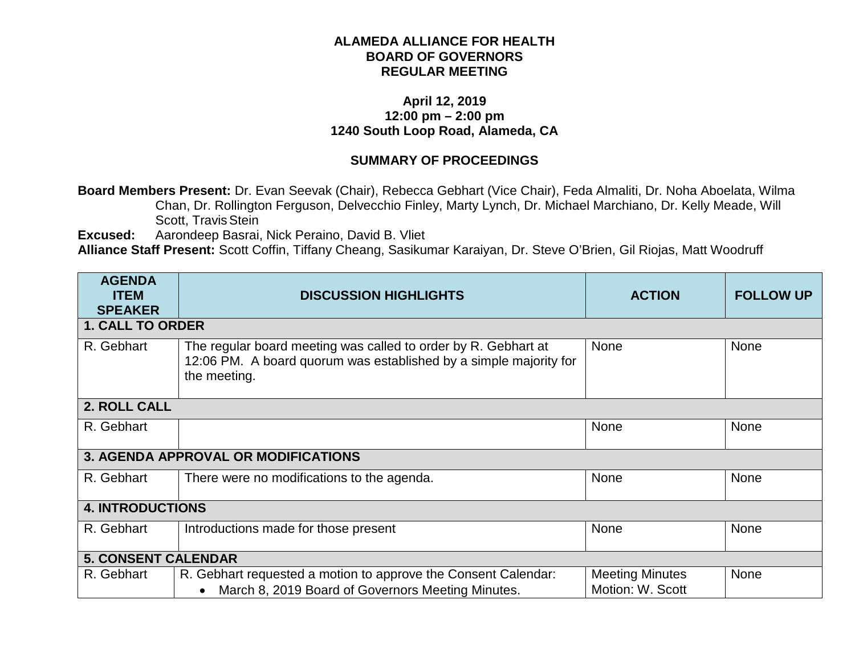## **ALAMEDA ALLIANCE FOR HEALTH BOARD OF GOVERNORS REGULAR MEETING**

## **April 12, 2019 12:00 pm – 2:00 pm 1240 South Loop Road, Alameda, CA**

## **SUMMARY OF PROCEEDINGS**

**Board Members Present:** Dr. Evan Seevak (Chair), Rebecca Gebhart (Vice Chair), Feda Almaliti, Dr. Noha Aboelata, Wilma Chan, Dr. Rollington Ferguson, Delvecchio Finley, Marty Lynch, Dr. Michael Marchiano, Dr. Kelly Meade, Will Scott, Travis Stein

**Excused:** Aarondeep Basrai, Nick Peraino, David B. Vliet

**Alliance Staff Present:** Scott Coffin, Tiffany Cheang, Sasikumar Karaiyan, Dr. Steve O'Brien, Gil Riojas, Matt Woodruff

| <b>AGENDA</b><br><b>ITEM</b><br><b>SPEAKER</b> | <b>DISCUSSION HIGHLIGHTS</b>                                                                                                                        | <b>ACTION</b>                              | <b>FOLLOW UP</b> |  |  |  |  |
|------------------------------------------------|-----------------------------------------------------------------------------------------------------------------------------------------------------|--------------------------------------------|------------------|--|--|--|--|
|                                                | <b>1. CALL TO ORDER</b>                                                                                                                             |                                            |                  |  |  |  |  |
| R. Gebhart                                     | The regular board meeting was called to order by R. Gebhart at<br>12:06 PM. A board quorum was established by a simple majority for<br>the meeting. | <b>None</b>                                | None             |  |  |  |  |
| 2. ROLL CALL                                   |                                                                                                                                                     |                                            |                  |  |  |  |  |
| R. Gebhart                                     | <b>None</b>                                                                                                                                         |                                            |                  |  |  |  |  |
|                                                | <b>3. AGENDA APPROVAL OR MODIFICATIONS</b>                                                                                                          |                                            |                  |  |  |  |  |
| R. Gebhart                                     | There were no modifications to the agenda.                                                                                                          | <b>None</b>                                | None             |  |  |  |  |
| <b>4. INTRODUCTIONS</b>                        |                                                                                                                                                     |                                            |                  |  |  |  |  |
| R. Gebhart                                     | <b>None</b><br>Introductions made for those present                                                                                                 |                                            | None             |  |  |  |  |
| <b>5. CONSENT CALENDAR</b>                     |                                                                                                                                                     |                                            |                  |  |  |  |  |
| R. Gebhart                                     | R. Gebhart requested a motion to approve the Consent Calendar:<br>March 8, 2019 Board of Governors Meeting Minutes.<br>$\bullet$                    | <b>Meeting Minutes</b><br>Motion: W. Scott | None             |  |  |  |  |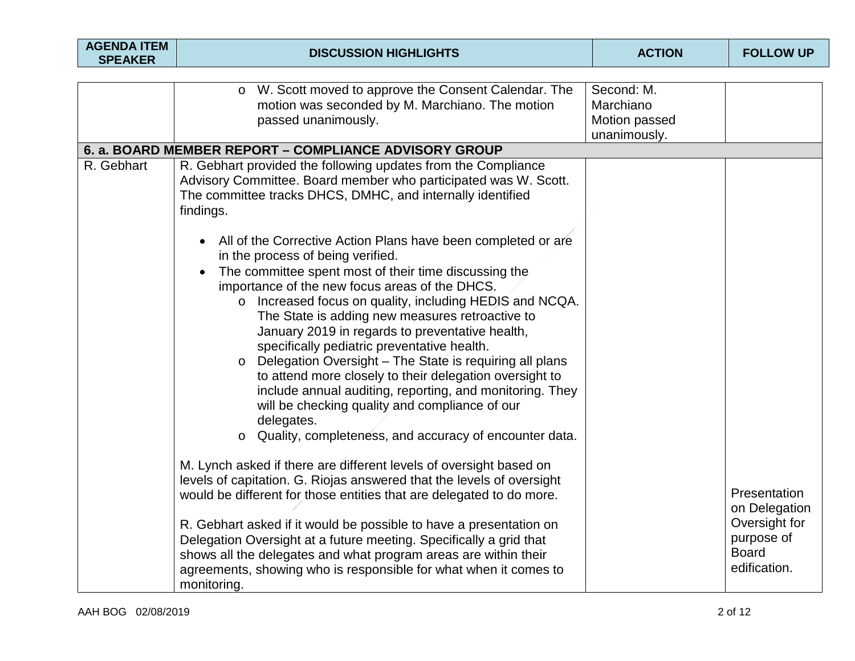| <b>AGENDA ITEM</b><br><b>SPEAKER</b> | <b>DISCUSSION HIGHLIGHTS</b>                                                                                                                                                                                                                                                                                                                                                                                                                                                                                                                                                                                                                                                                                         | <b>ACTION</b>                            | <b>FOLLOW UP</b>                                                                             |
|--------------------------------------|----------------------------------------------------------------------------------------------------------------------------------------------------------------------------------------------------------------------------------------------------------------------------------------------------------------------------------------------------------------------------------------------------------------------------------------------------------------------------------------------------------------------------------------------------------------------------------------------------------------------------------------------------------------------------------------------------------------------|------------------------------------------|----------------------------------------------------------------------------------------------|
|                                      | W. Scott moved to approve the Consent Calendar. The<br>$\circ$<br>motion was seconded by M. Marchiano. The motion<br>passed unanimously.                                                                                                                                                                                                                                                                                                                                                                                                                                                                                                                                                                             | Second: M.<br>Marchiano<br>Motion passed |                                                                                              |
|                                      | 6. a. BOARD MEMBER REPORT - COMPLIANCE ADVISORY GROUP                                                                                                                                                                                                                                                                                                                                                                                                                                                                                                                                                                                                                                                                | unanimously.                             |                                                                                              |
| R. Gebhart                           | R. Gebhart provided the following updates from the Compliance<br>Advisory Committee. Board member who participated was W. Scott.<br>The committee tracks DHCS, DMHC, and internally identified<br>findings.<br>All of the Corrective Action Plans have been completed or are<br>$\bullet$                                                                                                                                                                                                                                                                                                                                                                                                                            |                                          |                                                                                              |
|                                      | in the process of being verified.<br>The committee spent most of their time discussing the<br>$\bullet$<br>importance of the new focus areas of the DHCS.<br>Increased focus on quality, including HEDIS and NCQA.<br>$\circ$<br>The State is adding new measures retroactive to<br>January 2019 in regards to preventative health,<br>specifically pediatric preventative health.<br>Delegation Oversight - The State is requiring all plans<br>$\circ$<br>to attend more closely to their delegation oversight to<br>include annual auditing, reporting, and monitoring. They<br>will be checking quality and compliance of our<br>delegates.<br>Quality, completeness, and accuracy of encounter data.<br>$\circ$ |                                          |                                                                                              |
|                                      | M. Lynch asked if there are different levels of oversight based on<br>levels of capitation. G. Riojas answered that the levels of oversight<br>would be different for those entities that are delegated to do more.<br>R. Gebhart asked if it would be possible to have a presentation on<br>Delegation Oversight at a future meeting. Specifically a grid that<br>shows all the delegates and what program areas are within their<br>agreements, showing who is responsible for what when it comes to<br>monitoring.                                                                                                                                                                                                |                                          | Presentation<br>on Delegation<br>Oversight for<br>purpose of<br><b>Board</b><br>edification. |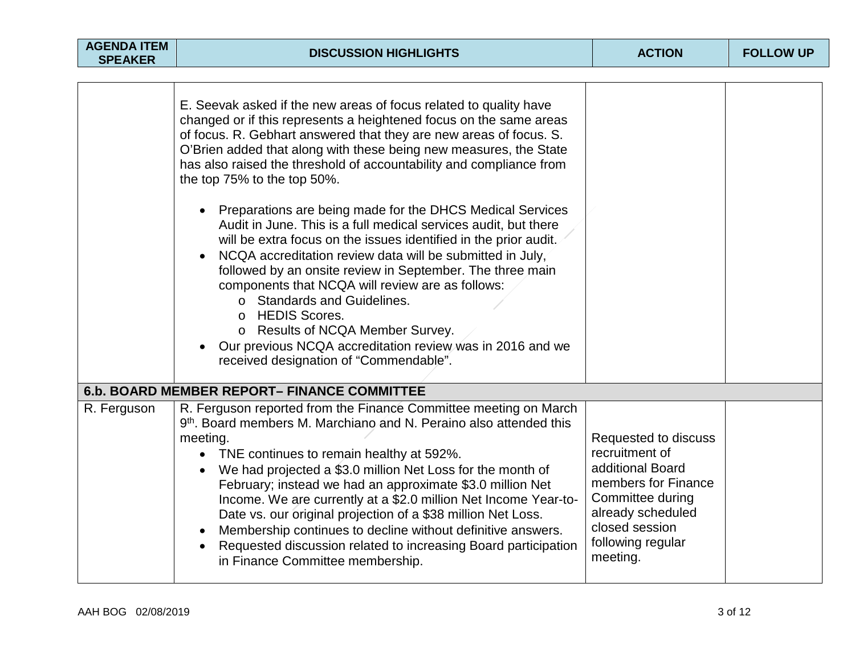| <b>AGENDA ITEM</b><br><b>SPEAKER</b> | <b>DISCUSSION HIGHLIGHTS</b>                                                                                                                                                                                                                                                                                                                                                                                                                                                                                                                                                                                                                                                                                                                                                                                                                                                                                                                                                                         | <b>ACTION</b>                                                                                                                                                                 | <b>FOLLOW UP</b> |
|--------------------------------------|------------------------------------------------------------------------------------------------------------------------------------------------------------------------------------------------------------------------------------------------------------------------------------------------------------------------------------------------------------------------------------------------------------------------------------------------------------------------------------------------------------------------------------------------------------------------------------------------------------------------------------------------------------------------------------------------------------------------------------------------------------------------------------------------------------------------------------------------------------------------------------------------------------------------------------------------------------------------------------------------------|-------------------------------------------------------------------------------------------------------------------------------------------------------------------------------|------------------|
|                                      | E. Seevak asked if the new areas of focus related to quality have<br>changed or if this represents a heightened focus on the same areas<br>of focus. R. Gebhart answered that they are new areas of focus. S.<br>O'Brien added that along with these being new measures, the State<br>has also raised the threshold of accountability and compliance from<br>the top 75% to the top 50%.<br>Preparations are being made for the DHCS Medical Services<br>$\bullet$<br>Audit in June. This is a full medical services audit, but there<br>will be extra focus on the issues identified in the prior audit.<br>NCQA accreditation review data will be submitted in July,<br>followed by an onsite review in September. The three main<br>components that NCQA will review are as follows:<br>o Standards and Guidelines.<br><b>HEDIS Scores.</b><br>$\circ$<br>o Results of NCQA Member Survey.<br>Our previous NCQA accreditation review was in 2016 and we<br>received designation of "Commendable". |                                                                                                                                                                               |                  |
|                                      | <b>6.b. BOARD MEMBER REPORT- FINANCE COMMITTEE</b>                                                                                                                                                                                                                                                                                                                                                                                                                                                                                                                                                                                                                                                                                                                                                                                                                                                                                                                                                   |                                                                                                                                                                               |                  |
| R. Ferguson                          | R. Ferguson reported from the Finance Committee meeting on March<br>9 <sup>th</sup> . Board members M. Marchiano and N. Peraino also attended this<br>meeting.<br>TNE continues to remain healthy at 592%.<br>We had projected a \$3.0 million Net Loss for the month of<br>February; instead we had an approximate \$3.0 million Net<br>Income. We are currently at a \$2.0 million Net Income Year-to-<br>Date vs. our original projection of a \$38 million Net Loss.<br>Membership continues to decline without definitive answers.<br>Requested discussion related to increasing Board participation<br>$\bullet$<br>in Finance Committee membership.                                                                                                                                                                                                                                                                                                                                           | Requested to discuss<br>recruitment of<br>additional Board<br>members for Finance<br>Committee during<br>already scheduled<br>closed session<br>following regular<br>meeting. |                  |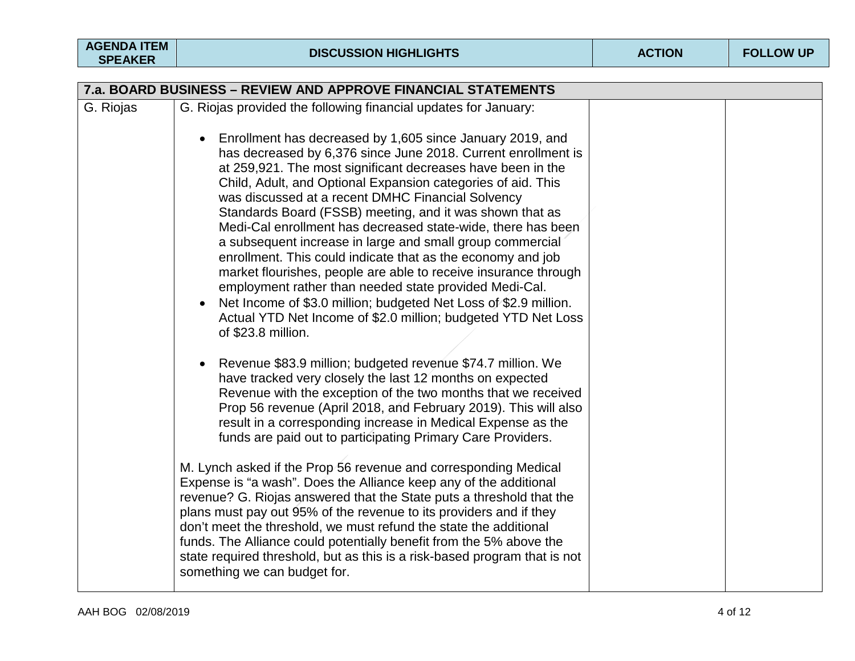| AGENDA ITEM |  |
|-------------|--|
|             |  |

| 7.a. BOARD BUSINESS - REVIEW AND APPROVE FINANCIAL STATEMENTS |                                                                                                                                                                                                                                                                                                                                                                                                                                                                                                                                                                                                                                                                                                                                                                                                                                                                |  |  |  |
|---------------------------------------------------------------|----------------------------------------------------------------------------------------------------------------------------------------------------------------------------------------------------------------------------------------------------------------------------------------------------------------------------------------------------------------------------------------------------------------------------------------------------------------------------------------------------------------------------------------------------------------------------------------------------------------------------------------------------------------------------------------------------------------------------------------------------------------------------------------------------------------------------------------------------------------|--|--|--|
| G. Riojas                                                     | G. Riojas provided the following financial updates for January:                                                                                                                                                                                                                                                                                                                                                                                                                                                                                                                                                                                                                                                                                                                                                                                                |  |  |  |
|                                                               | Enrollment has decreased by 1,605 since January 2019, and<br>has decreased by 6,376 since June 2018. Current enrollment is<br>at 259,921. The most significant decreases have been in the<br>Child, Adult, and Optional Expansion categories of aid. This<br>was discussed at a recent DMHC Financial Solvency<br>Standards Board (FSSB) meeting, and it was shown that as<br>Medi-Cal enrollment has decreased state-wide, there has been<br>a subsequent increase in large and small group commercial<br>enrollment. This could indicate that as the economy and job<br>market flourishes, people are able to receive insurance through<br>employment rather than needed state provided Medi-Cal.<br>Net Income of \$3.0 million; budgeted Net Loss of \$2.9 million.<br>Actual YTD Net Income of \$2.0 million; budgeted YTD Net Loss<br>of \$23.8 million. |  |  |  |
|                                                               | Revenue \$83.9 million; budgeted revenue \$74.7 million. We<br>have tracked very closely the last 12 months on expected<br>Revenue with the exception of the two months that we received<br>Prop 56 revenue (April 2018, and February 2019). This will also<br>result in a corresponding increase in Medical Expense as the<br>funds are paid out to participating Primary Care Providers.                                                                                                                                                                                                                                                                                                                                                                                                                                                                     |  |  |  |
|                                                               | M. Lynch asked if the Prop 56 revenue and corresponding Medical<br>Expense is "a wash". Does the Alliance keep any of the additional<br>revenue? G. Riojas answered that the State puts a threshold that the<br>plans must pay out 95% of the revenue to its providers and if they<br>don't meet the threshold, we must refund the state the additional<br>funds. The Alliance could potentially benefit from the 5% above the<br>state required threshold, but as this is a risk-based program that is not<br>something we can budget for.                                                                                                                                                                                                                                                                                                                    |  |  |  |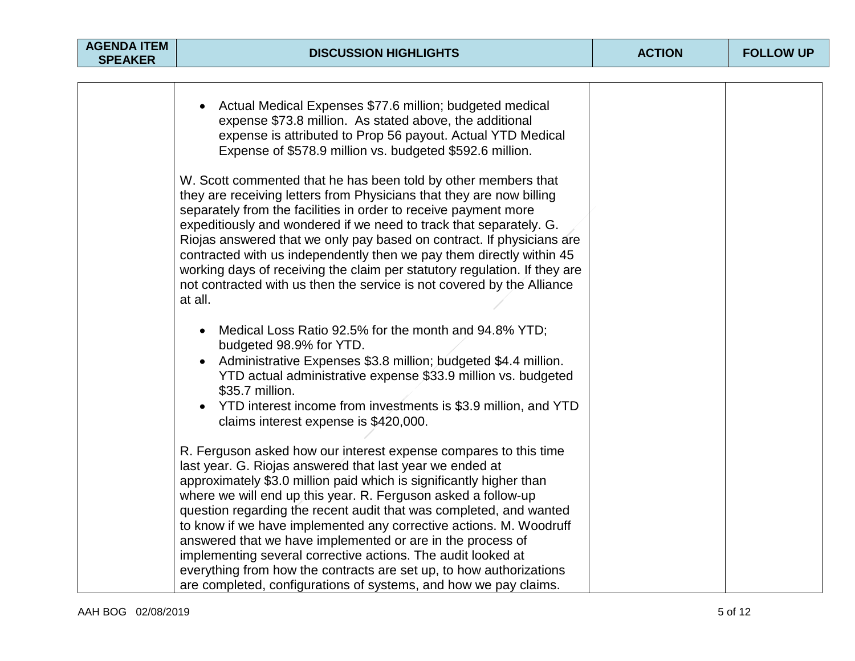| <b>AGENDA ITEM</b><br><b>SPEAKER</b> | <b>DISCUSSION HIGHLIGHTS</b>                                                                                                                                                                                                                                                                                                                                                                                                                                                                                                                                                                                                                                                              | <b>ACTION</b> | <b>FOLLOW UP</b> |
|--------------------------------------|-------------------------------------------------------------------------------------------------------------------------------------------------------------------------------------------------------------------------------------------------------------------------------------------------------------------------------------------------------------------------------------------------------------------------------------------------------------------------------------------------------------------------------------------------------------------------------------------------------------------------------------------------------------------------------------------|---------------|------------------|
|                                      |                                                                                                                                                                                                                                                                                                                                                                                                                                                                                                                                                                                                                                                                                           |               |                  |
|                                      | Actual Medical Expenses \$77.6 million; budgeted medical<br>expense \$73.8 million. As stated above, the additional<br>expense is attributed to Prop 56 payout. Actual YTD Medical<br>Expense of \$578.9 million vs. budgeted \$592.6 million.                                                                                                                                                                                                                                                                                                                                                                                                                                            |               |                  |
|                                      | W. Scott commented that he has been told by other members that<br>they are receiving letters from Physicians that they are now billing<br>separately from the facilities in order to receive payment more<br>expeditiously and wondered if we need to track that separately. G.<br>Riojas answered that we only pay based on contract. If physicians are<br>contracted with us independently then we pay them directly within 45<br>working days of receiving the claim per statutory regulation. If they are<br>not contracted with us then the service is not covered by the Alliance<br>at all.                                                                                        |               |                  |
|                                      | Medical Loss Ratio 92.5% for the month and 94.8% YTD;<br>budgeted 98.9% for YTD.<br>Administrative Expenses \$3.8 million; budgeted \$4.4 million.<br>YTD actual administrative expense \$33.9 million vs. budgeted<br>\$35.7 million.<br>YTD interest income from investments is \$3.9 million, and YTD<br>claims interest expense is \$420,000.                                                                                                                                                                                                                                                                                                                                         |               |                  |
|                                      | R. Ferguson asked how our interest expense compares to this time<br>last year. G. Riojas answered that last year we ended at<br>approximately \$3.0 million paid which is significantly higher than<br>where we will end up this year. R. Ferguson asked a follow-up<br>question regarding the recent audit that was completed, and wanted<br>to know if we have implemented any corrective actions. M. Woodruff<br>answered that we have implemented or are in the process of<br>implementing several corrective actions. The audit looked at<br>everything from how the contracts are set up, to how authorizations<br>are completed, configurations of systems, and how we pay claims. |               |                  |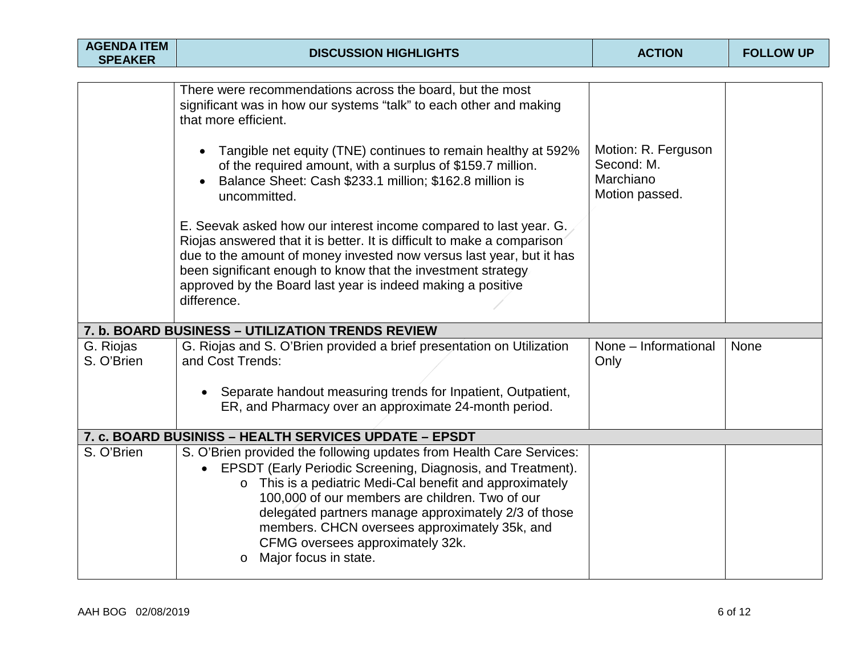| <b>AGENDA ITEM</b><br><b>SPEAKER</b> | <b>ACTION</b><br><b>DISCUSSION HIGHLIGHTS</b>                                                                                                                                                                                                                                                                                                                                                                                         |                                                                  | <b>FOLLOW UP</b> |
|--------------------------------------|---------------------------------------------------------------------------------------------------------------------------------------------------------------------------------------------------------------------------------------------------------------------------------------------------------------------------------------------------------------------------------------------------------------------------------------|------------------------------------------------------------------|------------------|
|                                      |                                                                                                                                                                                                                                                                                                                                                                                                                                       |                                                                  |                  |
|                                      | There were recommendations across the board, but the most<br>significant was in how our systems "talk" to each other and making<br>that more efficient.                                                                                                                                                                                                                                                                               |                                                                  |                  |
|                                      | Tangible net equity (TNE) continues to remain healthy at 592%<br>of the required amount, with a surplus of \$159.7 million.<br>Balance Sheet: Cash \$233.1 million; \$162.8 million is<br>uncommitted.                                                                                                                                                                                                                                | Motion: R. Ferguson<br>Second: M.<br>Marchiano<br>Motion passed. |                  |
|                                      | E. Seevak asked how our interest income compared to last year. G.<br>Riojas answered that it is better. It is difficult to make a comparison<br>due to the amount of money invested now versus last year, but it has<br>been significant enough to know that the investment strategy<br>approved by the Board last year is indeed making a positive<br>difference.                                                                    |                                                                  |                  |
|                                      | 7. b. BOARD BUSINESS - UTILIZATION TRENDS REVIEW                                                                                                                                                                                                                                                                                                                                                                                      |                                                                  |                  |
| G. Riojas<br>S. O'Brien              | G. Riojas and S. O'Brien provided a brief presentation on Utilization<br>and Cost Trends:                                                                                                                                                                                                                                                                                                                                             | None - Informational<br>Only                                     | None             |
|                                      | Separate handout measuring trends for Inpatient, Outpatient,<br>ER, and Pharmacy over an approximate 24-month period.                                                                                                                                                                                                                                                                                                                 |                                                                  |                  |
|                                      | 7. c. BOARD BUSINISS - HEALTH SERVICES UPDATE - EPSDT                                                                                                                                                                                                                                                                                                                                                                                 |                                                                  |                  |
| S. O'Brien                           | S. O'Brien provided the following updates from Health Care Services:<br>• EPSDT (Early Periodic Screening, Diagnosis, and Treatment).<br>o This is a pediatric Medi-Cal benefit and approximately<br>100,000 of our members are children. Two of our<br>delegated partners manage approximately 2/3 of those<br>members. CHCN oversees approximately 35k, and<br>CFMG oversees approximately 32k.<br>Major focus in state.<br>$\circ$ |                                                                  |                  |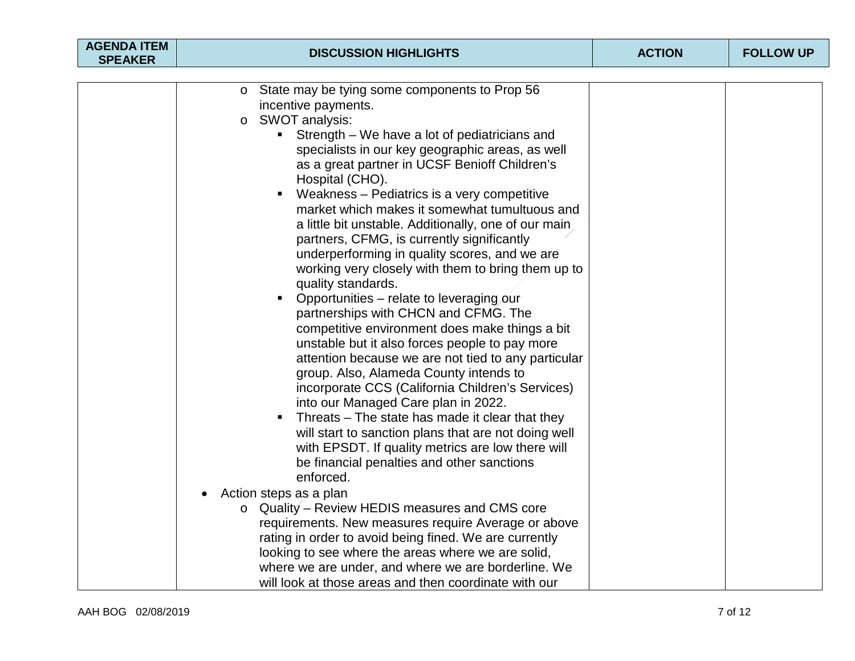| <b>AGENDA ITEM</b><br><b>SPEAKER</b> | <b>DISCUSSION HIGHLIGHTS</b>                                                                                                                                                                                                                                                                                                                                                                                                                                                                                                                                                                                                                                                                                                                                                                                                                                                                                                                                                                                                                                                                                                                                                                                                                                                                                                                                                                                                                                                                                                                                                                                                           | <b>ACTION</b> | <b>FOLLOW UP</b> |
|--------------------------------------|----------------------------------------------------------------------------------------------------------------------------------------------------------------------------------------------------------------------------------------------------------------------------------------------------------------------------------------------------------------------------------------------------------------------------------------------------------------------------------------------------------------------------------------------------------------------------------------------------------------------------------------------------------------------------------------------------------------------------------------------------------------------------------------------------------------------------------------------------------------------------------------------------------------------------------------------------------------------------------------------------------------------------------------------------------------------------------------------------------------------------------------------------------------------------------------------------------------------------------------------------------------------------------------------------------------------------------------------------------------------------------------------------------------------------------------------------------------------------------------------------------------------------------------------------------------------------------------------------------------------------------------|---------------|------------------|
|                                      |                                                                                                                                                                                                                                                                                                                                                                                                                                                                                                                                                                                                                                                                                                                                                                                                                                                                                                                                                                                                                                                                                                                                                                                                                                                                                                                                                                                                                                                                                                                                                                                                                                        |               |                  |
|                                      | State may be tying some components to Prop 56<br>$\circ$<br>incentive payments.<br>SWOT analysis:<br>$\circ$<br>Strength – We have a lot of pediatricians and<br>specialists in our key geographic areas, as well<br>as a great partner in UCSF Benioff Children's<br>Hospital (CHO).<br>Weakness – Pediatrics is a very competitive<br>п<br>market which makes it somewhat tumultuous and<br>a little bit unstable. Additionally, one of our main<br>partners, CFMG, is currently significantly<br>underperforming in quality scores, and we are<br>working very closely with them to bring them up to<br>quality standards.<br>Opportunities – relate to leveraging our<br>$\blacksquare$<br>partnerships with CHCN and CFMG. The<br>competitive environment does make things a bit<br>unstable but it also forces people to pay more<br>attention because we are not tied to any particular<br>group. Also, Alameda County intends to<br>incorporate CCS (California Children's Services)<br>into our Managed Care plan in 2022.<br>Threats – The state has made it clear that they<br>Е<br>will start to sanction plans that are not doing well<br>with EPSDT. If quality metrics are low there will<br>be financial penalties and other sanctions<br>enforced.<br>Action steps as a plan<br>o Quality - Review HEDIS measures and CMS core<br>requirements. New measures require Average or above<br>rating in order to avoid being fined. We are currently<br>looking to see where the areas where we are solid,<br>where we are under, and where we are borderline. We<br>will look at those areas and then coordinate with our |               |                  |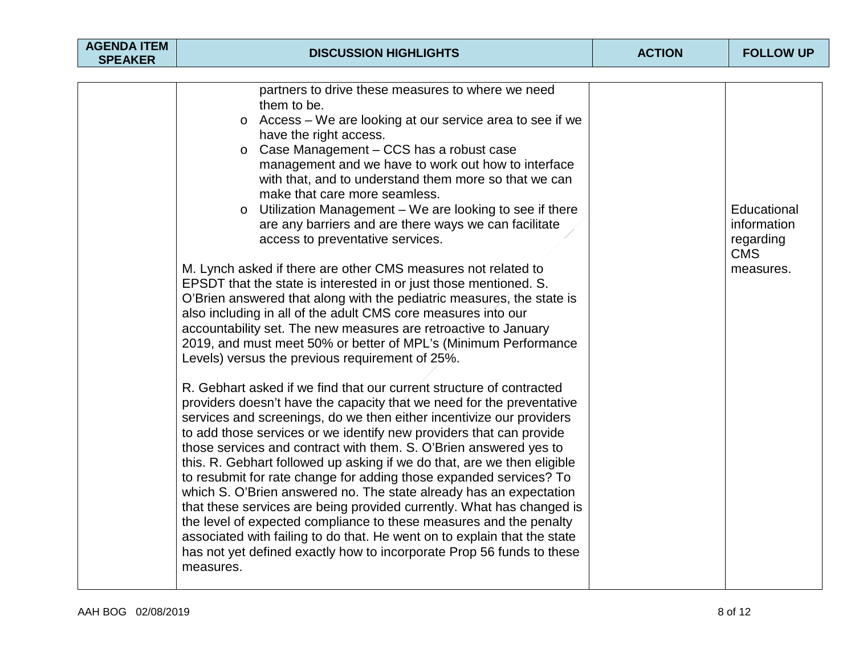| <b>AGENDA ITEM</b><br><b>SPEAKER</b> | <b>DISCUSSION HIGHLIGHTS</b>                                                                                                                                                                                                                                                                                                                                                                                                                                                                                                                                                                                                                                                                                                                                                                                                                                                                              | <b>ACTION</b> | <b>FOLLOW UP</b>                                                   |
|--------------------------------------|-----------------------------------------------------------------------------------------------------------------------------------------------------------------------------------------------------------------------------------------------------------------------------------------------------------------------------------------------------------------------------------------------------------------------------------------------------------------------------------------------------------------------------------------------------------------------------------------------------------------------------------------------------------------------------------------------------------------------------------------------------------------------------------------------------------------------------------------------------------------------------------------------------------|---------------|--------------------------------------------------------------------|
|                                      |                                                                                                                                                                                                                                                                                                                                                                                                                                                                                                                                                                                                                                                                                                                                                                                                                                                                                                           |               |                                                                    |
|                                      | partners to drive these measures to where we need<br>them to be.<br>Access – We are looking at our service area to see if we<br>$\circ$<br>have the right access.<br>Case Management - CCS has a robust case<br>$\circ$<br>management and we have to work out how to interface<br>with that, and to understand them more so that we can<br>make that care more seamless.<br>Utilization Management - We are looking to see if there<br>$\circ$<br>are any barriers and are there ways we can facilitate<br>access to preventative services.<br>M. Lynch asked if there are other CMS measures not related to                                                                                                                                                                                                                                                                                              |               | Educational<br>information<br>regarding<br><b>CMS</b><br>measures. |
|                                      | EPSDT that the state is interested in or just those mentioned. S.<br>O'Brien answered that along with the pediatric measures, the state is<br>also including in all of the adult CMS core measures into our<br>accountability set. The new measures are retroactive to January<br>2019, and must meet 50% or better of MPL's (Minimum Performance<br>Levels) versus the previous requirement of 25%.                                                                                                                                                                                                                                                                                                                                                                                                                                                                                                      |               |                                                                    |
|                                      | R. Gebhart asked if we find that our current structure of contracted<br>providers doesn't have the capacity that we need for the preventative<br>services and screenings, do we then either incentivize our providers<br>to add those services or we identify new providers that can provide<br>those services and contract with them. S. O'Brien answered yes to<br>this. R. Gebhart followed up asking if we do that, are we then eligible<br>to resubmit for rate change for adding those expanded services? To<br>which S. O'Brien answered no. The state already has an expectation<br>that these services are being provided currently. What has changed is<br>the level of expected compliance to these measures and the penalty<br>associated with failing to do that. He went on to explain that the state<br>has not yet defined exactly how to incorporate Prop 56 funds to these<br>measures. |               |                                                                    |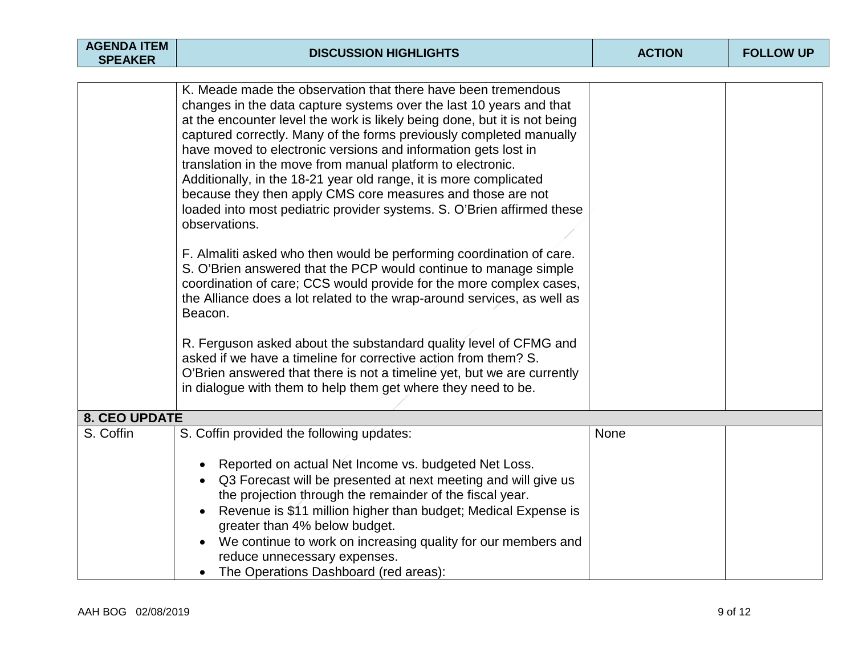| <b>AGENDA ITEM</b><br><b>SPEAKER</b> | <b>DISCUSSION HIGHLIGHTS</b>                                                                                                                                                                                                                                                                                                                                                                                                                                                                                                                                                                                                                                                                                                                                                                                                                                                                                                                                                                                                                                                                                                                                                                                                                          | <b>ACTION</b> | <b>FOLLOW UP</b> |
|--------------------------------------|-------------------------------------------------------------------------------------------------------------------------------------------------------------------------------------------------------------------------------------------------------------------------------------------------------------------------------------------------------------------------------------------------------------------------------------------------------------------------------------------------------------------------------------------------------------------------------------------------------------------------------------------------------------------------------------------------------------------------------------------------------------------------------------------------------------------------------------------------------------------------------------------------------------------------------------------------------------------------------------------------------------------------------------------------------------------------------------------------------------------------------------------------------------------------------------------------------------------------------------------------------|---------------|------------------|
|                                      | K. Meade made the observation that there have been tremendous<br>changes in the data capture systems over the last 10 years and that<br>at the encounter level the work is likely being done, but it is not being<br>captured correctly. Many of the forms previously completed manually<br>have moved to electronic versions and information gets lost in<br>translation in the move from manual platform to electronic.<br>Additionally, in the 18-21 year old range, it is more complicated<br>because they then apply CMS core measures and those are not<br>loaded into most pediatric provider systems. S. O'Brien affirmed these<br>observations.<br>F. Almaliti asked who then would be performing coordination of care.<br>S. O'Brien answered that the PCP would continue to manage simple<br>coordination of care; CCS would provide for the more complex cases,<br>the Alliance does a lot related to the wrap-around services, as well as<br>Beacon.<br>R. Ferguson asked about the substandard quality level of CFMG and<br>asked if we have a timeline for corrective action from them? S.<br>O'Brien answered that there is not a timeline yet, but we are currently<br>in dialogue with them to help them get where they need to be. |               |                  |
| <b>8. CEO UPDATE</b>                 |                                                                                                                                                                                                                                                                                                                                                                                                                                                                                                                                                                                                                                                                                                                                                                                                                                                                                                                                                                                                                                                                                                                                                                                                                                                       |               |                  |
| S. Coffin                            | S. Coffin provided the following updates:<br>Reported on actual Net Income vs. budgeted Net Loss.<br>Q3 Forecast will be presented at next meeting and will give us<br>the projection through the remainder of the fiscal year.<br>Revenue is \$11 million higher than budget; Medical Expense is<br>greater than 4% below budget.<br>We continue to work on increasing quality for our members and<br>reduce unnecessary expenses.<br>The Operations Dashboard (red areas):                                                                                                                                                                                                                                                                                                                                                                                                                                                                                                                                                                                                                                                                                                                                                                          | None          |                  |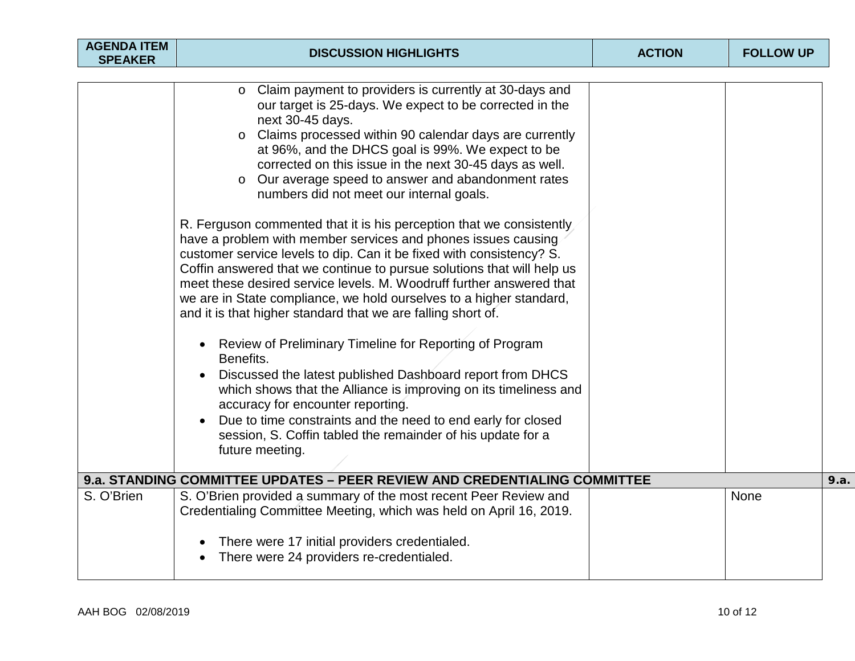| <b>AGENDA ITEM</b><br><b>SPEAKER</b> | <b>DISCUSSION HIGHLIGHTS</b>                                                                                                                                                                                                                                                                                                                                                                                                                                                                                                                                                                                                                                                                                                                                                                                                                                                                                                                                                                                                                                                                                                                                             | <b>ACTION</b> | <b>FOLLOW UP</b> |      |
|--------------------------------------|--------------------------------------------------------------------------------------------------------------------------------------------------------------------------------------------------------------------------------------------------------------------------------------------------------------------------------------------------------------------------------------------------------------------------------------------------------------------------------------------------------------------------------------------------------------------------------------------------------------------------------------------------------------------------------------------------------------------------------------------------------------------------------------------------------------------------------------------------------------------------------------------------------------------------------------------------------------------------------------------------------------------------------------------------------------------------------------------------------------------------------------------------------------------------|---------------|------------------|------|
|                                      |                                                                                                                                                                                                                                                                                                                                                                                                                                                                                                                                                                                                                                                                                                                                                                                                                                                                                                                                                                                                                                                                                                                                                                          |               |                  |      |
|                                      | o Claim payment to providers is currently at 30-days and<br>our target is 25-days. We expect to be corrected in the<br>next 30-45 days.<br>Claims processed within 90 calendar days are currently<br>$\circ$<br>at 96%, and the DHCS goal is 99%. We expect to be<br>corrected on this issue in the next 30-45 days as well.<br>Our average speed to answer and abandonment rates<br>$\circ$<br>numbers did not meet our internal goals.<br>R. Ferguson commented that it is his perception that we consistently<br>have a problem with member services and phones issues causing<br>customer service levels to dip. Can it be fixed with consistency? S.<br>Coffin answered that we continue to pursue solutions that will help us<br>meet these desired service levels. M. Woodruff further answered that<br>we are in State compliance, we hold ourselves to a higher standard,<br>and it is that higher standard that we are falling short of.<br>Review of Preliminary Timeline for Reporting of Program<br>Benefits.<br>Discussed the latest published Dashboard report from DHCS<br>$\bullet$<br>which shows that the Alliance is improving on its timeliness and |               |                  |      |
|                                      | accuracy for encounter reporting.<br>Due to time constraints and the need to end early for closed<br>session, S. Coffin tabled the remainder of his update for a<br>future meeting.                                                                                                                                                                                                                                                                                                                                                                                                                                                                                                                                                                                                                                                                                                                                                                                                                                                                                                                                                                                      |               |                  |      |
|                                      | 9.a. STANDING COMMITTEE UPDATES - PEER REVIEW AND CREDENTIALING COMMITTEE                                                                                                                                                                                                                                                                                                                                                                                                                                                                                                                                                                                                                                                                                                                                                                                                                                                                                                                                                                                                                                                                                                |               |                  | 9.a. |
| S. O'Brien                           | S. O'Brien provided a summary of the most recent Peer Review and<br>Credentialing Committee Meeting, which was held on April 16, 2019.                                                                                                                                                                                                                                                                                                                                                                                                                                                                                                                                                                                                                                                                                                                                                                                                                                                                                                                                                                                                                                   |               | None             |      |
|                                      | There were 17 initial providers credentialed.<br>There were 24 providers re-credentialed.                                                                                                                                                                                                                                                                                                                                                                                                                                                                                                                                                                                                                                                                                                                                                                                                                                                                                                                                                                                                                                                                                |               |                  |      |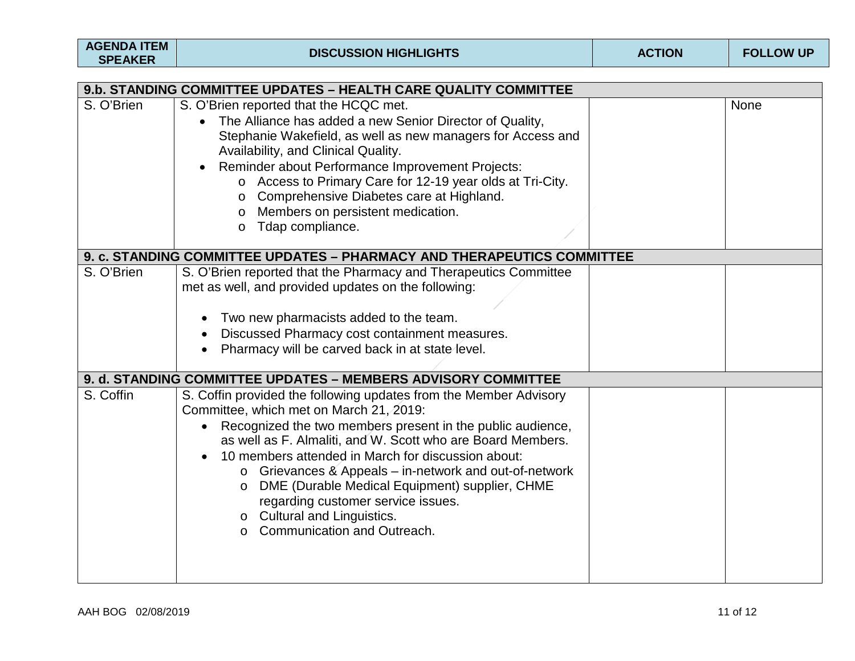| <b>AGENDA ITEM</b><br><b>SPEAKER</b>                            | <b>DISCUSSION HIGHLIGHTS</b>                                                                                                                                                                                                                                                                                                                                                                                                                                                                                                                     | <b>ACTION</b> | <b>FOLLOW UP</b> |  |  |  |  |
|-----------------------------------------------------------------|--------------------------------------------------------------------------------------------------------------------------------------------------------------------------------------------------------------------------------------------------------------------------------------------------------------------------------------------------------------------------------------------------------------------------------------------------------------------------------------------------------------------------------------------------|---------------|------------------|--|--|--|--|
| 9.b. STANDING COMMITTEE UPDATES - HEALTH CARE QUALITY COMMITTEE |                                                                                                                                                                                                                                                                                                                                                                                                                                                                                                                                                  |               |                  |  |  |  |  |
| S. O'Brien                                                      | S. O'Brien reported that the HCQC met.<br>The Alliance has added a new Senior Director of Quality,<br>Stephanie Wakefield, as well as new managers for Access and<br>Availability, and Clinical Quality.<br>Reminder about Performance Improvement Projects:<br>o Access to Primary Care for 12-19 year olds at Tri-City.<br>Comprehensive Diabetes care at Highland.<br>$\circ$<br>Members on persistent medication.<br>$\circ$<br>Tdap compliance.<br>$\circ$                                                                                  |               | None             |  |  |  |  |
|                                                                 | 9. c. STANDING COMMITTEE UPDATES - PHARMACY AND THERAPEUTICS COMMITTEE                                                                                                                                                                                                                                                                                                                                                                                                                                                                           |               |                  |  |  |  |  |
| S. O'Brien                                                      | S. O'Brien reported that the Pharmacy and Therapeutics Committee<br>met as well, and provided updates on the following:<br>Two new pharmacists added to the team.<br>Discussed Pharmacy cost containment measures.<br>Pharmacy will be carved back in at state level.                                                                                                                                                                                                                                                                            |               |                  |  |  |  |  |
|                                                                 | 9. d. STANDING COMMITTEE UPDATES - MEMBERS ADVISORY COMMITTEE                                                                                                                                                                                                                                                                                                                                                                                                                                                                                    |               |                  |  |  |  |  |
| S. Coffin                                                       | S. Coffin provided the following updates from the Member Advisory<br>Committee, which met on March 21, 2019:<br>• Recognized the two members present in the public audience,<br>as well as F. Almaliti, and W. Scott who are Board Members.<br>10 members attended in March for discussion about:<br>Grievances & Appeals – in-network and out-of-network<br>$\circ$<br>DME (Durable Medical Equipment) supplier, CHME<br>$\circ$<br>regarding customer service issues.<br>o Cultural and Linguistics.<br>Communication and Outreach.<br>$\circ$ |               |                  |  |  |  |  |